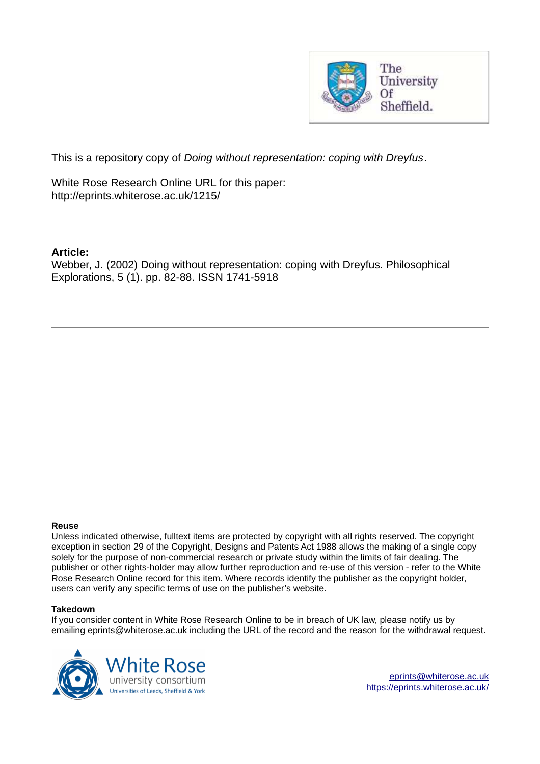

This is a repository copy of *Doing without representation: coping with Dreyfus*.

White Rose Research Online URL for this paper: http://eprints.whiterose.ac.uk/1215/

# **Article:**

Webber, J. (2002) Doing without representation: coping with Dreyfus. Philosophical Explorations, 5 (1). pp. 82-88. ISSN 1741-5918

### **Reuse**

Unless indicated otherwise, fulltext items are protected by copyright with all rights reserved. The copyright exception in section 29 of the Copyright, Designs and Patents Act 1988 allows the making of a single copy solely for the purpose of non-commercial research or private study within the limits of fair dealing. The publisher or other rights-holder may allow further reproduction and re-use of this version - refer to the White Rose Research Online record for this item. Where records identify the publisher as the copyright holder, users can verify any specific terms of use on the publisher's website.

### **Takedown**

If you consider content in White Rose Research Online to be in breach of UK law, please notify us by emailing eprints@whiterose.ac.uk including the URL of the record and the reason for the withdrawal request.

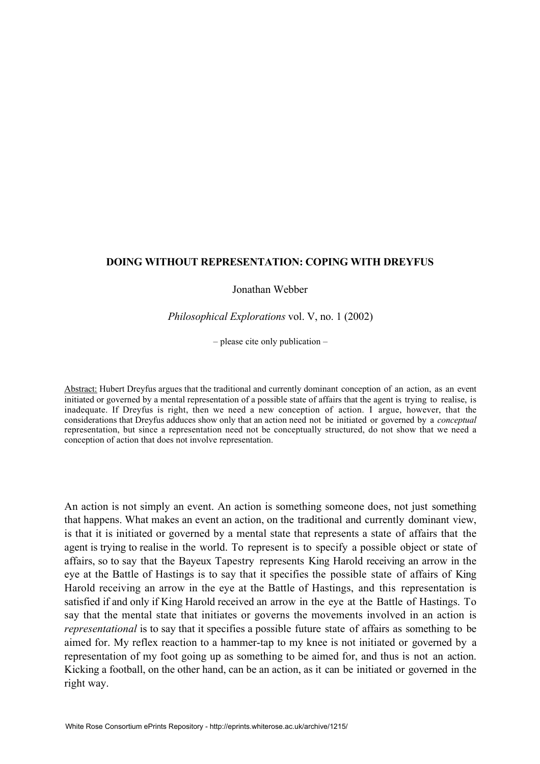### DOING WITHOUT REPRESENTATION: COPING WITH DREYFUS

Jonathan Webber

*Philosophical Explorations* vol. V, no. 1 (2002)

– please cite only publication –

Abstract: Hubert Dreyfus argues that the traditional and currently dominant conception of an action, as an event initiated or governed by a mental representation of a possible state of affairs that the agent is trying to realise, is inadequate. If Dreyfus is right, then we need a new conception of action. I argue, however, that the considerations that Dreyfus adduces show only that an action need not be initiated or governed by a *conceptual* representation, but since a representation need not be conceptually structured, do not show that we need a conception of action that does not involve representation.

An action is not simply an event. An action is something someone does, not just something that happens. What makes an event an action, on the traditional and currently dominant view, is that it is initiated or governed by a mental state that represents a state of affairs that the agent is trying to realise in the world. To represent is to specify a possible object or state of affairs, so to say that the Bayeux Tapestry represents King Harold receiving an arrow in the eye at the Battle of Hastings is to say that it specifies the possible state of affairs of King Harold receiving an arrow in the eye at the Battle of Hastings, and this representation is satisfied if and only if King Harold received an arrow in the eye at the Battle of Hastings. To say that the mental state that initiates or governs the movements involved in an action is *representational* is to say that it specifies a possible future state of affairs as something to be aimed for. My reflex reaction to a hammer-tap to my knee is not initiated or governed by a representation of my foot going up as something to be aimed for, and thus is not an action. Kicking a football, on the other hand, can be an action, as it can be initiated or governed in the right way.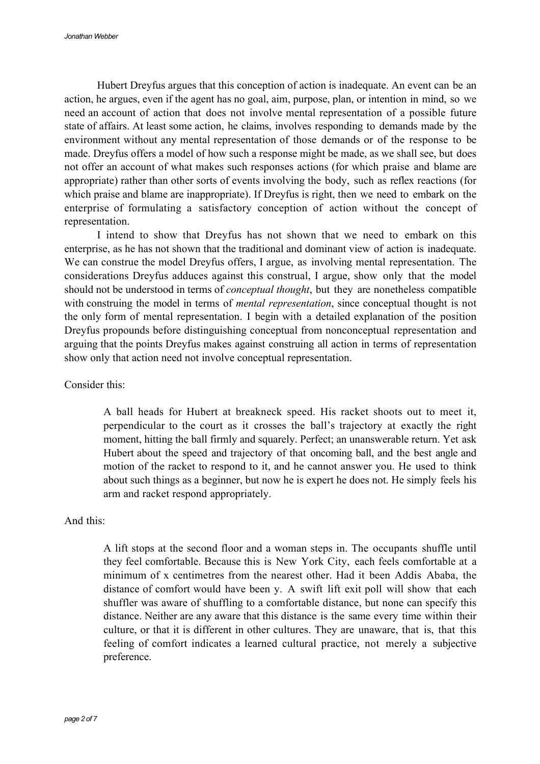Hubert Dreyfus argues that this conception of action is inadequate. An event can be an action, he argues, even if the agent has no goal, aim, purpose, plan, or intention in mind, so we need an account of action that does not involve mental representation of a possible future state of affairs. At least some action, he claims, involves responding to demands made by the environment without any mental representation of those demands or of the response to be made. Dreyfus offers a model of how such a response might be made, as we shall see, but does not offer an account of what makes such responses actions (for which praise and blame are appropriate) rather than other sorts of events involving the body, such as reflex reactions (for which praise and blame are inappropriate). If Dreyfus is right, then we need to embark on the enterprise of formulating a satisfactory conception of action without the concept of representation.

I intend to show that Dreyfus has not shown that we need to embark on this enterprise, as he has not shown that the traditional and dominant view of action is inadequate. We can construe the model Dreyfus offers, I argue, as involving mental representation. The considerations Dreyfus adduces against this construal, I argue, show only that the model should not be understood in terms of *conceptual thought*, but they are nonetheless compatible with construing the model in terms of *mental representation*, since conceptual thought is not the only form of mental representation. I begin with a detailed explanation of the position Dreyfus propounds before distinguishing conceptual from nonconceptual representation and arguing that the points Dreyfus makes against construing all action in terms of representation show only that action need not involve conceptual representation.

Consider this:

A ball heads for Hubert at breakneck speed. His racket shoots out to meet it, perpendicular to the court as it crosses the ball's trajectory at exactly the right moment, hitting the ball firmly and squarely. Perfect; an unanswerable return. Yet ask Hubert about the speed and trajectory of that oncoming ball, and the best angle and motion of the racket to respond to it, and he cannot answer you. He used to think about such things as a beginner, but now he is expert he does not. He simply feels his arm and racket respond appropriately.

## And this:

A lift stops at the second floor and a woman steps in. The occupants shuffle until they feel comfortable. Because this is New York City, each feels comfortable at a minimum of x centimetres from the nearest other. Had it been Addis Ababa, the distance of comfort would have been y. A swift lift exit poll will show that each shuffler was aware of shuffling to a comfortable distance, but none can specify this distance. Neither are any aware that this distance is the same every time within their culture, or that it is different in other cultures. They are unaware, that is, that this feeling of comfort indicates a learned cultural practice, not merely a subjective preference.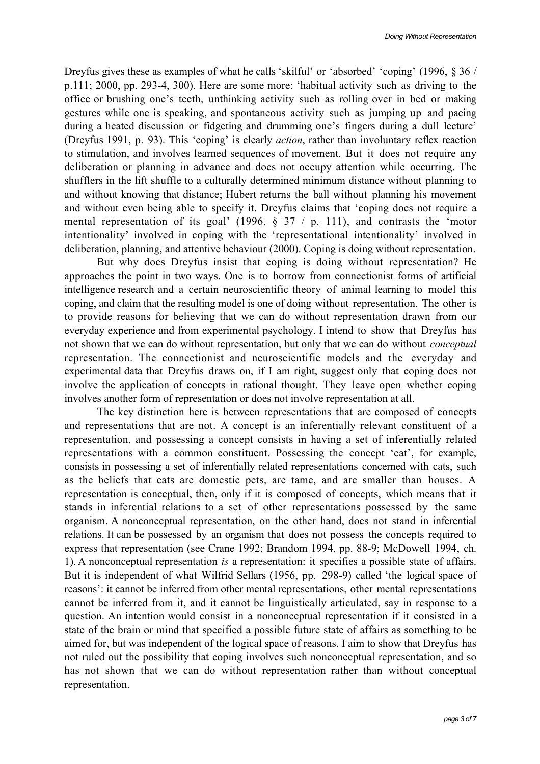Dreyfus gives these as examples of what he calls 'skilful' or 'absorbed' 'coping' (1996, § 36 / p.111; 2000, pp. 293-4, 300). Here are some more: 'habitual activity such as driving to the office or brushing one's teeth, unthinking activity such as rolling over in bed or making gestures while one is speaking, and spontaneous activity such as jumping up and pacing during a heated discussion or fidgeting and drumming one's fingers during a dull lecture' (Dreyfus 1991, p. 93). This 'coping' is clearly *action*, rather than involuntary reflex reaction to stimulation, and involves learned sequences of movement. But it does not require any deliberation or planning in advance and does not occupy attention while occurring. The shufflers in the lift shuffle to a culturally determined minimum distance without planning to and without knowing that distance; Hubert returns the ball without planning his movement and without even being able to specify it. Dreyfus claims that 'coping does not require a mental representation of its goal' (1996, § 37 / p. 111), and contrasts the 'motor intentionality' involved in coping with the 'representational intentionality' involved in deliberation, planning, and attentive behaviour (2000). Coping is doing without representation.

But why does Dreyfus insist that coping is doing without representation? He approaches the point in two ways. One is to borrow from connectionist forms of artificial intelligence research and a certain neuroscientific theory of animal learning to model this coping, and claim that the resulting model is one of doing without representation. The other is to provide reasons for believing that we can do without representation drawn from our everyday experience and from experimental psychology. I intend to show that Dreyfus has not shown that we can do without representation, but only that we can do without *conceptual* representation. The connectionist and neuroscientific models and the everyday and experimental data that Dreyfus draws on, if I am right, suggest only that coping does not involve the application of concepts in rational thought. They leave open whether coping involves another form of representation or does not involve representation at all.

The key distinction here is between representations that are composed of concepts and representations that are not. A concept is an inferentially relevant constituent of a representation, and possessing a concept consists in having a set of inferentially related representations with a common constituent. Possessing the concept 'cat', for example, consists in possessing a set of inferentially related representations concerned with cats, such as the beliefs that cats are domestic pets, are tame, and are smaller than houses. A representation is conceptual, then, only if it is composed of concepts, which means that it stands in inferential relations to a set of other representations possessed by the same organism. A nonconceptual representation, on the other hand, does not stand in inferential relations. It can be possessed by an organism that does not possess the concepts required to express that representation (see Crane 1992; Brandom 1994, pp. 88-9; McDowell 1994, ch. 1). A nonconceptual representation *is* a representation: it specifies a possible state of affairs. But it is independent of what Wilfrid Sellars (1956, pp. 298-9) called 'the logical space of reasons': it cannot be inferred from other mental representations, other mental representations cannot be inferred from it, and it cannot be linguistically articulated, say in response to a question. An intention would consist in a nonconceptual representation if it consisted in a state of the brain or mind that specified a possible future state of affairs as something to be aimed for, but was independent of the logical space of reasons. I aim to show that Dreyfus has not ruled out the possibility that coping involves such nonconceptual representation, and so has not shown that we can do without representation rather than without conceptual representation.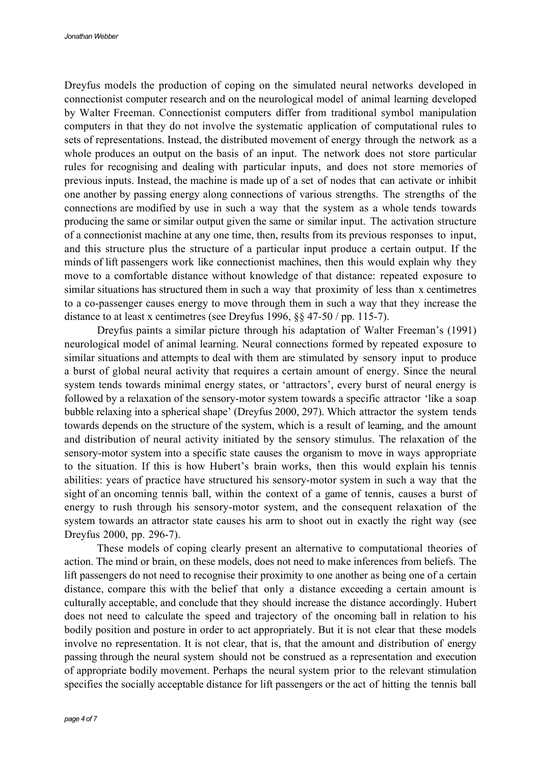Dreyfus models the production of coping on the simulated neural networks developed in connectionist computer research and on the neurological model of animal learning developed by Walter Freeman. Connectionist computers differ from traditional symbol manipulation computers in that they do not involve the systematic application of computational rules to sets of representations. Instead, the distributed movement of energy through the network as a whole produces an output on the basis of an input. The network does not store particular rules for recognising and dealing with particular inputs, and does not store memories of previous inputs. Instead, the machine is made up of a set of nodes that can activate or inhibit one another by passing energy along connections of various strengths. The strengths of the connections are modified by use in such a way that the system as a whole tends towards producing the same or similar output given the same or similar input. The activation structure of a connectionist machine at any one time, then, results from its previous responses to input, and this structure plus the structure of a particular input produce a certain output. If the minds of lift passengers work like connectionist machines, then this would explain why they move to a comfortable distance without knowledge of that distance: repeated exposure to similar situations has structured them in such a way that proximity of less than x centimetres to a co-passenger causes energy to move through them in such a way that they increase the distance to at least x centimetres (see Dreyfus 1996, §§ 47-50 / pp. 115-7).

Dreyfus paints a similar picture through his adaptation of Walter Freeman's (1991) neurological model of animal learning. Neural connections formed by repeated exposure to similar situations and attempts to deal with them are stimulated by sensory input to produce a burst of global neural activity that requires a certain amount of energy. Since the neural system tends towards minimal energy states, or 'attractors', every burst of neural energy is followed by a relaxation of the sensory-motor system towards a specific attractor 'like a soap bubble relaxing into a spherical shape' (Dreyfus 2000, 297). Which attractor the system tends towards depends on the structure of the system, which is a result of learning, and the amount and distribution of neural activity initiated by the sensory stimulus. The relaxation of the sensory-motor system into a specific state causes the organism to move in ways appropriate to the situation. If this is how Hubert's brain works, then this would explain his tennis abilities: years of practice have structured his sensory-motor system in such a way that the sight of an oncoming tennis ball, within the context of a game of tennis, causes a burst of energy to rush through his sensory-motor system, and the consequent relaxation of the system towards an attractor state causes his arm to shoot out in exactly the right way (see Dreyfus 2000, pp. 296-7).

These models of coping clearly present an alternative to computational theories of action. The mind or brain, on these models, does not need to make inferences from beliefs. The lift passengers do not need to recognise their proximity to one another as being one of a certain distance, compare this with the belief that only a distance exceeding a certain amount is culturally acceptable, and conclude that they should increase the distance accordingly. Hubert does not need to calculate the speed and trajectory of the oncoming ball in relation to his bodily position and posture in order to act appropriately. But it is not clear that these models involve no representation. It is not clear, that is, that the amount and distribution of energy passing through the neural system should not be construed as a representation and execution of appropriate bodily movement. Perhaps the neural system prior to the relevant stimulation specifies the socially acceptable distance for lift passengers or the act of hitting the tennis ball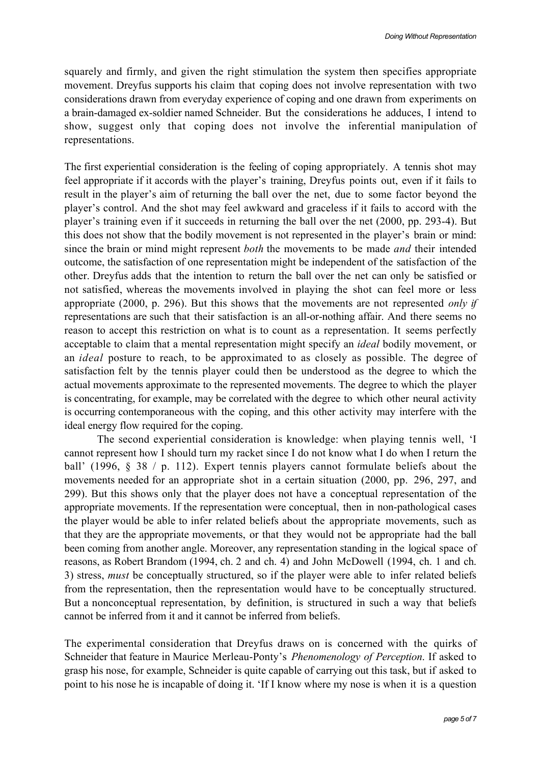squarely and firmly, and given the right stimulation the system then specifies appropriate movement. Dreyfus supports his claim that coping does not involve representation with two considerations drawn from everyday experience of coping and one drawn from experiments on a brain-damaged ex-soldier named Schneider. But the considerations he adduces, I intend to show, suggest only that coping does not involve the inferential manipulation of representations.

The first experiential consideration is the feeling of coping appropriately. A tennis shot may feel appropriate if it accords with the player's training, Dreyfus points out, even if it fails to result in the player's aim of returning the ball over the net, due to some factor beyond the player's control. And the shot may feel awkward and graceless if it fails to accord with the player's training even if it succeeds in returning the ball over the net (2000, pp. 293-4). But this does not show that the bodily movement is not represented in the player's brain or mind: since the brain or mind might represent *both* the movements to be made *and* their intended outcome, the satisfaction of one representation might be independent of the satisfaction of the other. Dreyfus adds that the intention to return the ball over the net can only be satisfied or not satisfied, whereas the movements involved in playing the shot can feel more or less appropriate (2000, p. 296). But this shows that the movements are not represented *only if* representations are such that their satisfaction is an all-or-nothing affair. And there seems no reason to accept this restriction on what is to count as a representation. It seems perfectly acceptable to claim that a mental representation might specify an *ideal* bodily movement, or an *ideal* posture to reach, to be approximated to as closely as possible. The degree of satisfaction felt by the tennis player could then be understood as the degree to which the actual movements approximate to the represented movements. The degree to which the player is concentrating, for example, may be correlated with the degree to which other neural activity is occurring contemporaneous with the coping, and this other activity may interfere with the ideal energy flow required for the coping.

The second experiential consideration is knowledge: when playing tennis well, 'I cannot represent how I should turn my racket since I do not know what I do when I return the ball' (1996, § 38 / p. 112). Expert tennis players cannot formulate beliefs about the movements needed for an appropriate shot in a certain situation (2000, pp. 296, 297, and 299). But this shows only that the player does not have a conceptual representation of the appropriate movements. If the representation were conceptual, then in non-pathological cases the player would be able to infer related beliefs about the appropriate movements, such as that they are the appropriate movements, or that they would not be appropriate had the ball been coming from another angle. Moreover, any representation standing in the logical space of reasons, as Robert Brandom (1994, ch. 2 and ch. 4) and John McDowell (1994, ch. 1 and ch. 3) stress, *must* be conceptually structured, so if the player were able to infer related beliefs from the representation, then the representation would have to be conceptually structured. But a nonconceptual representation, by definition, is structured in such a way that beliefs cannot be inferred from it and it cannot be inferred from beliefs.

The experimental consideration that Dreyfus draws on is concerned with the quirks of Schneider that feature in Maurice Merleau-Ponty's *Phenomenology of Perception*. If asked to grasp his nose, for example, Schneider is quite capable of carrying out this task, but if asked to point to his nose he is incapable of doing it. 'If I know where my nose is when it is a question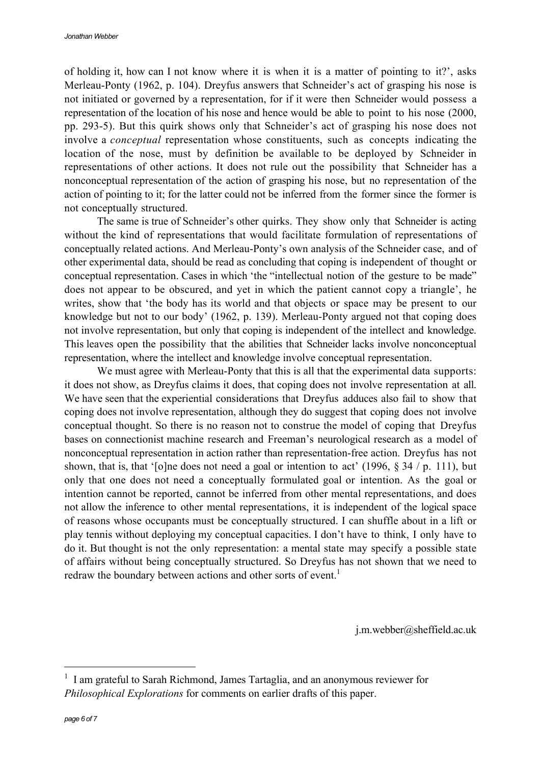of holding it, how can I not know where it is when it is a matter of pointing to it?', asks Merleau-Ponty (1962, p. 104). Dreyfus answers that Schneider's act of grasping his nose is not initiated or governed by a representation, for if it were then Schneider would possess a representation of the location of his nose and hence would be able to point to his nose (2000, pp. 293-5). But this quirk shows only that Schneider's act of grasping his nose does not involve a *conceptual* representation whose constituents, such as concepts indicating the location of the nose, must by definition be available to be deployed by Schneider in representations of other actions. It does not rule out the possibility that Schneider has a nonconceptual representation of the action of grasping his nose, but no representation of the action of pointing to it; for the latter could not be inferred from the former since the former is not conceptually structured.

The same is true of Schneider's other quirks. They show only that Schneider is acting without the kind of representations that would facilitate formulation of representations of conceptually related actions. And Merleau-Ponty's own analysis of the Schneider case, and of other experimental data, should be read as concluding that coping is independent of thought or conceptual representation. Cases in which 'the "intellectual notion of the gesture to be made" does not appear to be obscured, and yet in which the patient cannot copy a triangle', he writes, show that 'the body has its world and that objects or space may be present to our knowledge but not to our body' (1962, p. 139). Merleau-Ponty argued not that coping does not involve representation, but only that coping is independent of the intellect and knowledge. This leaves open the possibility that the abilities that Schneider lacks involve nonconceptual representation, where the intellect and knowledge involve conceptual representation.

We must agree with Merleau-Ponty that this is all that the experimental data supports: it does not show, as Dreyfus claims it does, that coping does not involve representation at all. We have seen that the experiential considerations that Dreyfus adduces also fail to show that coping does not involve representation, although they do suggest that coping does not involve conceptual thought. So there is no reason not to construe the model of coping that Dreyfus bases on connectionist machine research and Freeman's neurological research as a model of nonconceptual representation in action rather than representation-free action. Dreyfus has not shown, that is, that '[o]ne does not need a goal or intention to act' (1996,  $\S 34 / p$ . 111), but only that one does not need a conceptually formulated goal or intention. As the goal or intention cannot be reported, cannot be inferred from other mental representations, and does not allow the inference to other mental representations, it is independent of the logical space of reasons whose occupants must be conceptually structured. I can shuffle about in a lift or play tennis without deploying my conceptual capacities. I don't have to think, I only have to do it. But thought is not the only representation: a mental state may specify a possible state of affairs without being conceptually structured. So Dreyfus has not shown that we need to redraw the boundary between actions and other sorts of event.<sup>1</sup>

j.m.webber@sheffield.ac.uk

 $\overline{a}$ 

<sup>&</sup>lt;sup>1</sup> I am grateful to Sarah Richmond, James Tartaglia, and an anonymous reviewer for *Philosophical Explorations* for comments on earlier drafts of this paper.